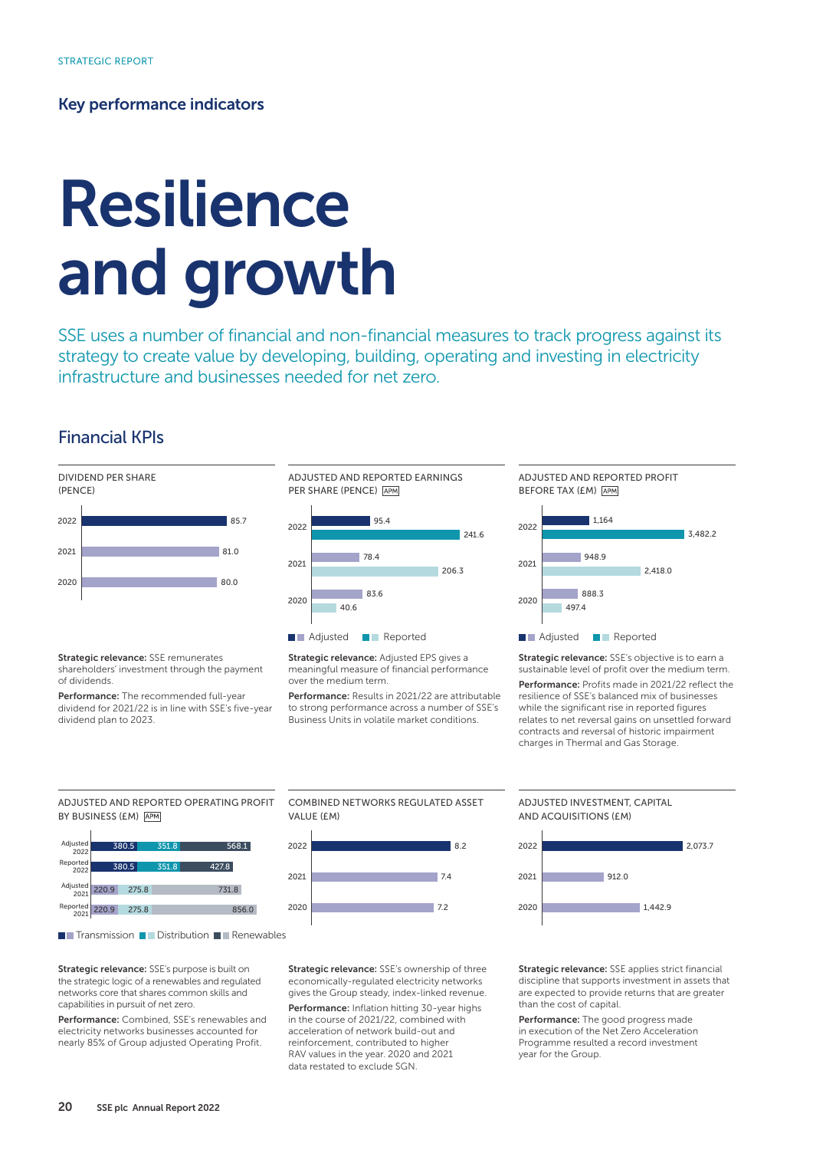## Key performance indicators

# Resilience and growth

SSE uses a number of financial and non-financial measures to track progress against its strategy to create value by developing, building, operating and investing in electricity infrastructure and businesses needed for net zero.

# Financial KPIs



Strategic relevance: SSE remunerates shareholders' investment through the payment of dividends.

Performance: The recommended full-year dividend for 2021/22 is in line with SSE's five-year dividend plan to 2023.



Strategic relevance: Adjusted EPS gives a meaningful measure of financial performance over the medium term.

Performance: Results in 2021/22 are attributable to strong performance across a number of SSE's Business Units in volatile market conditions.



Strategic relevance: SSE's objective is to earn a sustainable level of profit over the medium term.

Performance: Profits made in 2021/22 reflect the resilience of SSE's balanced mix of businesses while the significant rise in reported figures relates to net reversal gains on unsettled forward contracts and reversal of historic impairment charges in Thermal and Gas Storage.

ADJUSTED AND REPORTED OPERATING PROFIT BY BUSINESS (EM) APM



**T**Transmission **Distribution Renewables** 

Strategic relevance: SSE's purpose is built on the strategic logic of a renewables and regulated networks core that shares common skills and capabilities in pursuit of net zero.

Performance: Combined, SSE's renewables and electricity networks businesses accounted for nearly 85% of Group adjusted Operating Profit.

COMBINED NETWORKS REGULATED ASSET VALUE (£M)



Strategic relevance: SSE's ownership of three economically-regulated electricity networks gives the Group steady, index-linked revenue.

Performance: Inflation hitting 30-year highs in the course of 2021/22, combined with acceleration of network build-out and reinforcement, contributed to higher RAV values in the year. 2020 and 2021 data restated to exclude SGN.

ADJUSTED INVESTMENT, CAPITAL AND ACQUISITIONS (£M)



Strategic relevance: SSE applies strict financial discipline that supports investment in assets that are expected to provide returns that are greater than the cost of capital.

Performance: The good progress made in execution of the Net Zero Acceleration Programme resulted a record investment year for the Group.